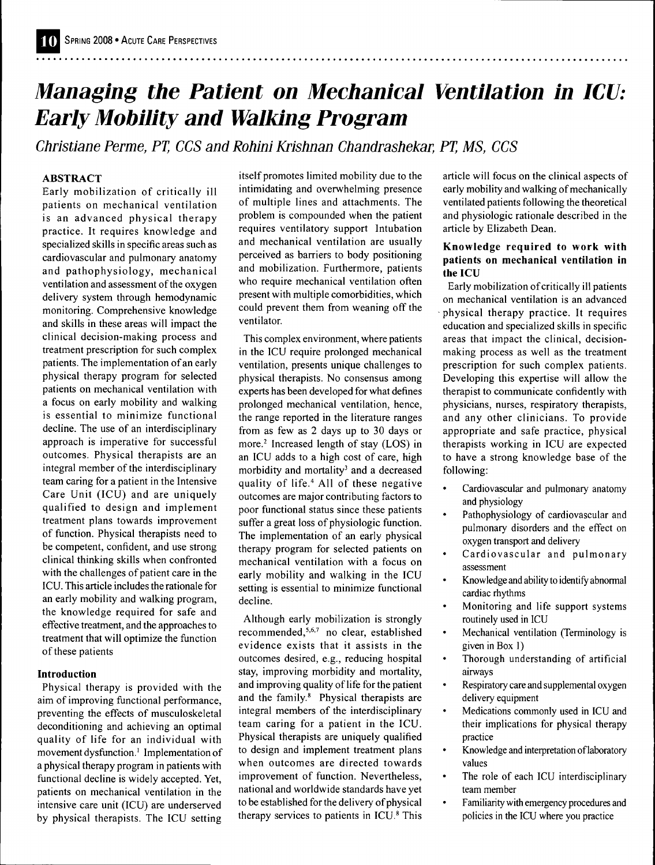# *Managing the Patient on Mechanical Ventiiation in ICU: Early Mobility and Walking Program*

*Christiane Perme, PT, CCS and Rohini Krishnan Chandrashekar, PT, MS, CCS* 

# **ABSTRACT**

Early mobilization of critically ill patients on mechanical ventilation is an advanced physical therapy practice. It requires knowledge and specialized skills in specific areas such as cardiovascular and pulmonary anatomy and pathophysiology, mechanical ventilation and assessment of the oxygen delivery system through hemodynamic monitoring. Comprehensive knowledge and skills in these areas will impact the clinical decision-making process and treatment prescription for such complex patients. The implementation of an early physical therapy program for selected patients on mechanical ventilation with a focus on early mobility and walking is essential to minimize functional decline. The use of an interdisciplinary approach is imperative for successful outcomes. Physical therapists are an integral member of the interdisciplinary team caring for a patient in the Intensive Care Unit (ICU) and are uniquely qualified to design and implement treatment plans towards improvement of function. Physical therapists need to be competent, confident, and use strong clinical thinking skills when confronted with the challenges of patient care in the ICU, This article includes the rationale for an early mobility and walking program, the knowledge required for safe and effective treatment, and the approaches to treatment that will optimize the function of these patients

#### **Introduction**

Physical therapy is provided with the aim of improving functional performance, preventing the effects of museuloskeletal deconditioning and achieving an optimal quality of life for an individual with movement dysfunction.<sup>1</sup> Implementation of a physical therapy program in patients with functional decline is widely accepted. Yet, patients on mechanical ventilation in the intensive care unit (ICU) are underserved by physical therapists. The ICU setting itself promotes limited mobility due to the intimidating and overwhelming presence of multiple lines and attachments. The problem is compounded when the patient requires ventilatory support Intubation and mechanical ventilation are usually perceived as barriers to body positioning and mobilization. Furthermore, patients who require mechanical ventilation often present with multiple comorbidities, which could prevent them from weaning off the ventilator.

This complex environment, where patients in the ICU require prolonged mechanical ventilation, presents unique challenges to physical therapists. No consensus among experts has been developed for what defines prolonged mechanical ventilation, hence, the range reported in the literature ranges from as few as 2 days up to 30 days or more.<sup>2</sup> Increased length of stay (LOS) in an ICU adds to a high cost of care, high morbidity and mortality<sup>3</sup> and a decreased quality of life," All of these negative outcomes are major contributing factors to poor functional status since these patients suffer a great loss of physiologic function. The implementation of an early physical therapy program for selected patients on mechanical ventilation with a focus on early mobility and walking in the ICU setting is essential to minimize functional decline.

Although early mobilization is strongly recommended, $5,6,7$  no clear, established evidence exists that it assists in the outcomes desired, e,g,, reducing hospital stay, improving morbidity and mortality, and improving quality of life for the patient and the family,\* Physical therapists are integral members of the interdisciplinary team caring for a patient in the ICU, Physical therapists are uniquely qualified to design and implement treatment plans when outcomes are directed towards improvement of function. Nevertheless, national and worldwide standards have yet to be established for the delivery of physical therapy services to patients in ICU.<sup>8</sup> This article will focus on the clinical aspects of early mobility and walking of mechanically ventilated patients following the theoretical and physiologic rationale described in the article by Elizabeth Dean,

#### **Knowledge required to work with patients on mechanical ventilation in the ICU**

Early mobilization of critically ill patients on mechanical ventilation is an advanced physical therapy practice. It requires education and specialized skills in specific areas that impact the clinical, decisionmaking process as well as the treatment prescription for such complex patients. Developing this expertise will allow the therapist to communicate confidently with physicians, nurses, respiratory therapists, and any other clinicians. To provide appropriate and safe practice, physical therapists working in ICU are expected to have a strong knowledge base of the following:

- Cardiovascular and pulmonary anatomy and physiology
- Pathophysiology of cardiovascular and pulmonary disorders and the effect on oxygen transport and delivery
- Cardiovascular and pulmonary assessment
- Knowledge and ability to identify abnormal cardiac rhythms
- Monitoring and life support systems routinely used in ICU
- Mechanical ventilation (Terminology is given in Box 1)
- $\bullet$ Thorough understanding of artificial airways
- $\bullet$ Respiratory care and supplemental oxygen delivery equipment
- Medications commonly used in ICU and their implications for physical therapy practice
- Knowledge and interpretation of laboratory values
- The role of each ICU interdisciplinary team member
- Familiarity with emergency procedures and policies in the ICU where you practice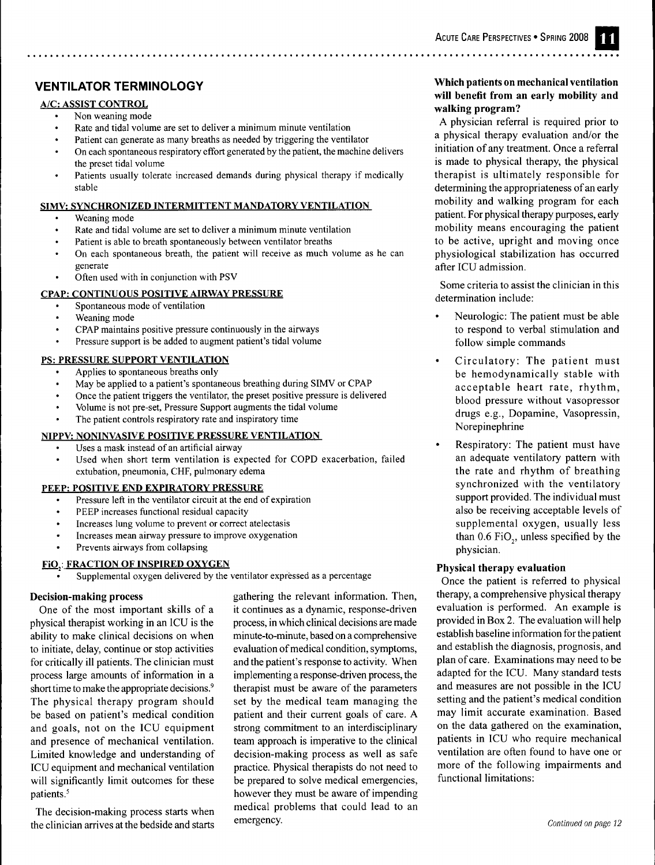# **VENTILATOR TERMINOLOGY**

# **A/C: ASSIST CONTROL**

- Non weaning mode
- Rate and tidal volume are set to deliver a minimum minute ventilation
- Patient can generate as many breaths as needed by triggering the ventilator On each spontaneous respiratory effort generated by the patient, the machine delivers
- the preset tidal volume Patients usually tolerate increased demands during physical therapy if medically stable

#### **SIMV: SYNCHRONIZED INTERMITTENT MANDATORY VENTILATION**

- Weaning mode
- Rate and tidal volume are set to deliver a minimum minute ventilation
- Patient is able to breath spontaneously between ventilator breaths
- On each spontaneous breath, the patient will receive as much volume as he can generate
- Often used with in conjunction with PSV

#### **CPAP: CONTINUOUS POSITIVE AIRWAY PRESSURE**

- Spontaneous mode of ventilation
- Weaning mode
- CPAP maintains positive pressure continuously in the airways
- Pressure support is be added to augment patient's tidal volume

#### **PS: PRESSURE SUPPORT VENTILATION**

- Applies to spontaneous breaths only
- May be applied to a patient's spontaneous breathing during SIMV or CPAP
- Once the patient triggers the ventilator, the preset positive pressure is delivered
- Volume is not pre-set, Pressure Support augments the tidal volume
- The patient controls respiratory rate and inspiratory time

#### **NIPPV: NONINVASIVE POSITIVE PRESSURE VENTILATION**

- Uses a mask instead of an artificial airway
- Used when short term ventilation is expected for COPD exacerbation, failed extubation, pneumonia, CHF, pulmonary edema

### **PEEP: POSITIVE END EXPIRATORY PRESSURE**

- Pressure left in the ventilator circuit at the end of expiration
- PEEP increases functional residual capacity
- Increases lung volume to prevent or correct atelectasis
- Increases mean airway pressure to improve oxygenation
- Prevents airways from collapsing

# **FIO.: FRACTION OF INSPIRED OXYGEN**

Supplemental oxygen delivered by the ventilator expressed as a percentage

#### **Decision-making process**

One of the most important skills of a physical therapist working in an ICU is the ability to make clinical decisions on when to initiate, delay, continue or stop activities for critically ill patients. The clinician must process large amounts of information in a short time to make the appropriate decisions.' The physical therapy program should be based on patient's medical condition and goals, not on the ICU equipment and presence of mechanical ventilation. Limited knowledge and understanding of ICU equipment and mechanical ventilation will significantly limit outcomes for these patients.'

The decision-making process starts when the clinician arrives at the bedside and starts

gathering the relevant information. Then, it continues as a dynamic, response-driven process, in which clinical decisions are made minute-to-minute, based on a comprehensive evaluation of medical condition, symptoms, and the patient's response to activity. When implementing a response-driven process, the therapist must be aware of the parameters set by the medical team managing the patient and their current goals of care. A strong commitment to an interdisciplinary team approach is imperative to the clinical decision-making process as well as safe practice. Physical therapists do not need to be prepared to solve medical emergencies, however they must be aware of impending medical problems that could lead to an emergency.

# **Which patients on mechanical ventilation will beneñt from an early mobility and walking program?**

A physician referral is required prior to a physical therapy evaluation and/or the initiation of any treatment. Once a referral is made to physical therapy, the physical therapist is ultimately responsible for determining the appropriateness of an early mobility and walking program for each patient. For physical therapy purposes, early mobility means encouraging the patient to be active, upright and moving once physiological stabilization has occurred after ICU admission.

Some criteria to assist the clinician in this determination include:

- Neurologic: The patient must be able to respond to verbal stimulation and follow simple commands
- Circulatory: The patient must be hemodynamically stable with acceptable heart rate, rhythm, blood pressure without vasopressor drugs e.g., Dopamine, Vasopressin, Norepinephrine
- Respiratory: The patient must have an adequate ventilatory pattern with the rate and rhythm of breathing synchronized with the ventilatory support provided. The individual must also be receiving acceptable levels of supplemental oxygen, usually less than  $0.6$  FiO<sub>2</sub>, unless specified by the physician.

#### **Physical therapy evaluation**

Once the patient is referred to physical therapy, a comprehensive physical therapy evaluation is performed. An example is provided in Box 2. The evaluation will help establish baseline information for the patient and establish the diagnosis, prognosis, and plan of care. Examinations may need to be adapted for the ICU. Many standard tests and measures are not possible in the ICU setting and the patient's medical condition may limit accurate examination. Based on the data gathered on the examination, patients in ICU who require mechanical ventilation are often found to have one or more of the following impairments and functional limitations: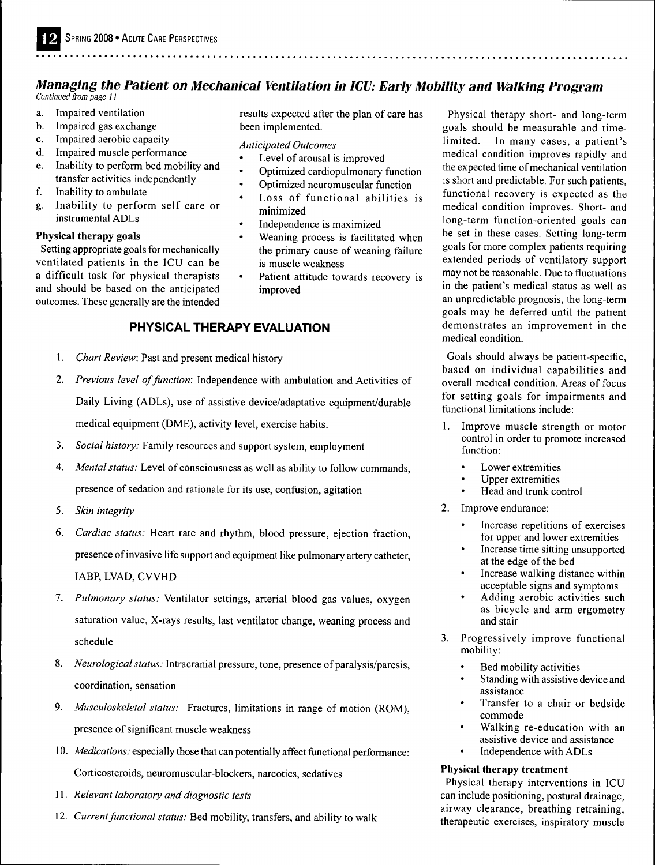# *Managing the Patient on Mechanical Ventilation in ICU: Early Mobility and Walking Program Continued from page 11*

a. Impaired ventilation

- b. Impaired gas exchange
- c. Impaired aerobic capacity
- d. Impaired muscle performance
- e. Inability to perform bed mobility and transfer activities independently
- f. Inability to ambulate
- g. Inability to perform self care or instrumental ADLs

# **Physical therapy goals**

Setting appropriate goals for mechanically ventilated patients in the ICU can be a difficult task for physical therapists and should be based on the anticipated outcomes. These generally are the intended results expected after the plan of care has been implemented.

*Anticipated Outcomes*

- Level of arousal is improved
- Optimized cardiopulmonary function
- Optimized neuromuscular function
- Loss of functional abilities is minimized
- Independence is maximized
- Weaning process is facilitated when the primary cause of weaning failure is muscle weakness
- Patient attitude towards recovery is improved

# **PHYSICAL THERAPY EVALUATION**

- 1. *Chart Review:* Past and present medical history
- 2. *Previous level of function:* Independence with ambulation and Activities of Daily Living (ADLs), use of assistive device/adaptative equipment/durable medical equipment (DME), activity level, exercise habits.
- 3. *Social history:* Family resources and support system, employment
- 4. *Mental status:* Level of consciousness as well as ability to follow commands, presence of sedation and rationale for its use, confusion, agitation
- 5. *Skin integrity*
- 6. *Cardiac status:* Heart rate and rhythm, blood pressure, ejection fraction, presence of invasive life support and equipment like pulmonary artery catheter, IABP, LVAD, CWHD
- 7. *Pulmonary status:* Ventilator settings, arterial blood gas values, oxygen saturation value. X-rays results, last ventilator change, weaning process and schedule
- 8. *Neurological status:* Intracranial pressure, tone, presence of paralysis/paresis, coordination, sensation
- 9. *Musculoskeletal status:* Fractures, limitations in range of motion (ROM), presence of significant muscle weakness
- 10. *Medications:* especially those that can potentially affect functional performance: Corticosteroids, neuromuscular-blockers, narcotics, sedatives
- 11. *Relevant laboratory and diagnostic tests*
- 12. *Current functional status:* Bed mobility, transfers, and ability to walk

Physical therapy short- and long-term goals should be measurable and timelimited. In many cases, a patient's medical condition improves rapidly and the expected time of mechanical ventilation is short and predictable. For such patients, functional recovery is expected as the medical condition improves. Short- and long-term function-oriented goals can be set in these cases. Setting long-term goals for more complex patients requiring extended periods of ventilatory support may not be reasonable. Due to fluctuations in the patient's medical status as well as an unpredictable prognosis, the long-term goals may be deferred until the patient demonstrates an improvement in the medical condition.

Goals should always be patient-specific, based on individual capabilities and overall medical condition. Areas of focus for setting goals for impairments and functional limitations include:

- 1. Improve muscle strength or motor control in order to promote increased function:
	- Lower extremities
	- Upper extremities
	- Head and trunk control
- 2. Improve endurance:
	- Increase repetitions of exercises for upper and lower extremities
	- Increase time sitting unsupported at the edge of the bed
	- Increase walking distance within acceptable signs and symptoms
	- Adding aerobic activities such as bicycle and arm ergometry and stair
- 3. Progressively improve functional mobility:
	- Bed mobility activities
	- Standing with assistive device and assistance
	- Transfer to a chair or bedside commode
	- Walking re-education with an assistive device and assistance
	- Independence with ADLs

# **Physical therapy treatment**

Physical therapy interventions in ICU can include positioning, postural drainage, airway clearance, breathing retraining, therapeutic exercises, inspiratory muscle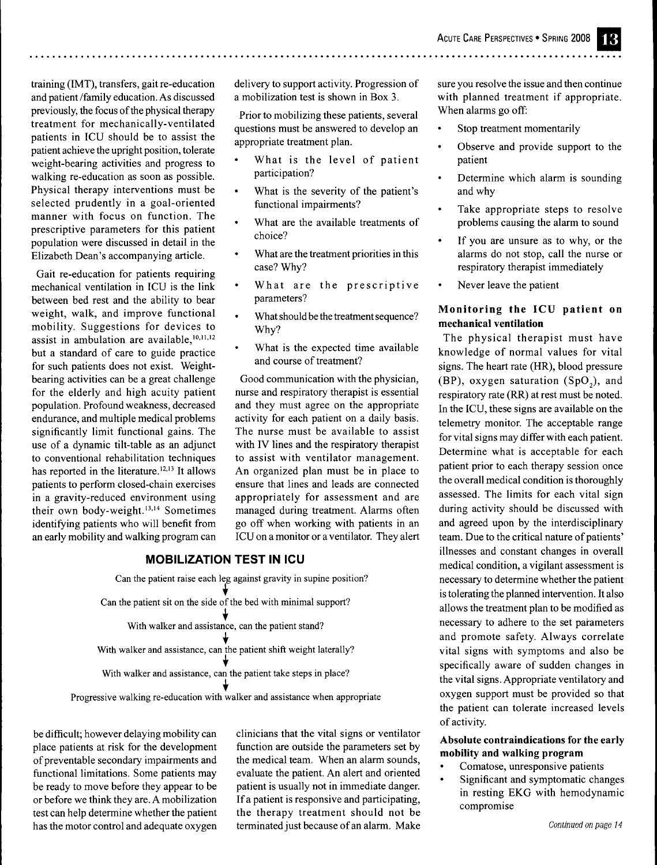training (IMT), transfers, gait re-education and patient /family education. As discussed previously, the focus of the physical therapy treatment for mechanically-ventilated patients in ICU should be to assist the patient achieve the upright position, tolerate weight-bearing activities and progress to walking re-education as soon as possible. Physical therapy interventions must be selected prudently in a goal-oriented manner with focus on function. The prescriptive parameters for this patient population were discussed in detail in the Elizabeth Dean's accompanying article.

Gait re-education for patients requiring mechanical ventilation in ICU is the link between bed rest and the ability to bear weight, walk, and improve functional mobility. Suggestions for devices to assist in ambulation are available,  $10,11,12$ but a standard of care to guide practice for such patients does not exist. Weightbearing activities can be a great challenge for the elderly and high acuity patient population. Profound weakness, decreased endurance, and multiple medical problems significantly limit functional gains. The use of a dynamic tilt-table as an adjunct to conventional rehabilitation techniques has reported in the literature. $12,13$  It allows patients to perform closed-chain exercises in a gravity-reduced environment using their own body-weight.<sup>13,14</sup> Sometimes identifying patients who will benefit from an early mobility and walking program can delivery to support activity. Progression of a mobilization test is shown in Box 3.

Prior to mobilizing these patients, several questions must be answered to develop an appropriate treatment plan.

- What is the level of patient participation?
- What is the severity of the patient's functional impairments?
- What are the available treatments of choice?
- What are the treatment priorities in this case? Why?
- What are the prescriptive parameters?
- What should be the treatment sequence? Why?
- What is the expected time available and course of treatment?

Good communication with the physician, nurse and respiratory therapist is essential and they must agree on the appropriate activity for each patient on a daily basis. The nurse must be available to assist with IV lines and the respiratory therapist to assist with ventilator management. An organized plan must be in place to ensure that lines and leads are connected appropriately for assessment and are managed during treatment. Alarms often go off when working with patients in an ICU on a monitor or a ventilator. They alert

#### **MOBILIZATION TEST IN ICU**

Can the patient raise each leg against gravity in supine position? Can the patient sit on the side of the bed with minimal support? **I** With walker and assistance, can the patient stand? With walker and assistance, can the patient shift weight laterally? With walker and assistance, can the patient take steps in place?

Progressive walking re-education with walker and assistance when appropriate

be difficult; however delaying mobility can place patients at risk for the development of preventable secondary impairments and functional limitations. Some patients may be ready to move before they appear to be or before we think they are. A mobilization test can help determine whether the patient has the motor control and adequate oxygen clinicians that the vital signs or ventilator function are outside the parameters set by the medical team. When an alarm sounds, evaluate the patient. An alert and oriented patient is usually not in immediate danger. If a patient is responsive and participating, the therapy treatment should not be terminated just because of an alarm. Make

sure you resolve the issue and then continue with planned treatment if appropriate. When alarms go off:

- Stop treatment momentarily
- Observe and provide support to the patient
- Determine which alarm is sounding and why
- Take appropriate steps to resolve problems causing the alarm to sound
- If you are unsure as to why, or the alarms do not stop, call the nurse or respiratory therapist immediately
- Never leave the patient

#### **Monitoring the ICU patient on mechanical ventilation**

The physical therapist must have knowledge of normal values for vital signs. The heart rate (HR), blood pressure (BP), oxygen saturation  $(SpO<sub>s</sub>)$ , and respiratory rate (RR) at rest must be noted. In the ICU, these signs are available on the telemetry monitor. The acceptable range for vital signs may differ with each patient. Determine what is acceptable for each patient prior to each therapy session once the overall medical condition is thoroughly assessed. The limits for each vital sign during activity should be discussed with and agreed upon by the interdisciplinary team. Due to the critical nature of patients' illnesses and constant changes in overall medical condition, a vigilant assessment is necessary to determine whether the patient is tolerating the planned intervention. It also allows the treatment plan to be modified as necessary to adhere to the set parameters and promote safety. Always correlate vital signs with symptoms and also be specifically aware of sudden changes in the vital signs. Appropriate ventilatory and oxygen support must be provided so that the patient can tolerate increased levels of activity.

# **Absolute contraindications for the early mobility and walking program**

- Comatose, unresponsive patients
- Significant and symptomatic changes in resting EKG with hemodynamic compromise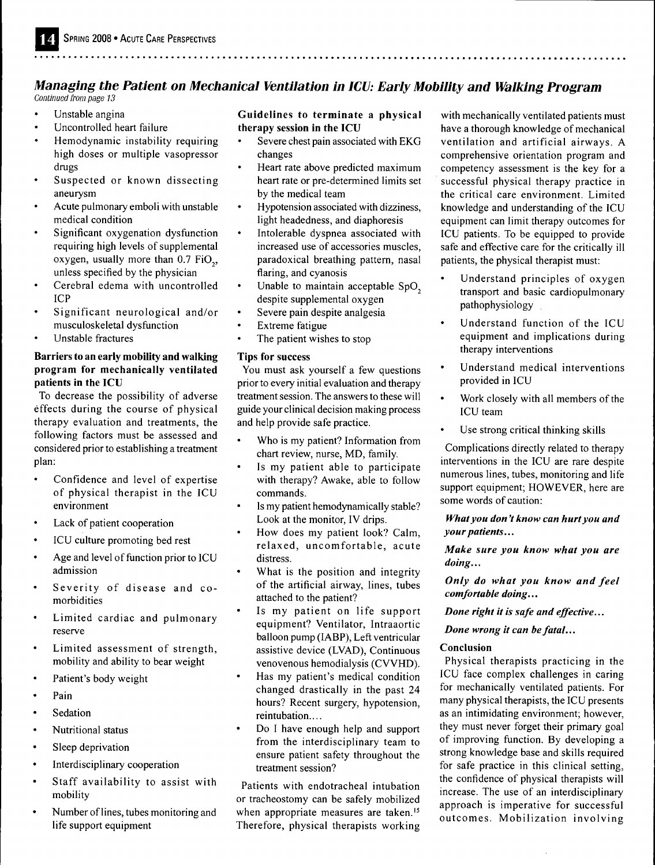# *Managing the Patient on Mechanical Ventilation in ICU: Early Mobility and Walking Program Continued from page 13*

- Unstable angina
- Uncontrolled heart failure
- Hemodynamic instability requiring high doses or multiple vasopressor drugs
- Suspected or known dissecting aneurysm
- Acute pulmonary emboli with unstable medical condition
- Significant oxygénation dysfunction requiring high levels of supplemental oxygen, usually more than 0.7 FiO., unless specified by the physician
- Cerebral edema with uncontrolled ICP
- Significant neurological and/or musculoskeletal dysfunction
- Unstable fractures

# **Barriers to an early mobility and walking program for mechanically ventilated patients in the ICU**

To decrease the possibility of adverse effects during the course of physical therapy evaluation and treatments, the following factors must be assessed and considered prior to establishing a treatment plan:

- Confidence and level of expertise of physical therapist in the ICU environment
- Lack of patient cooperation
- ICU culture promoting bed rest
- Age and level of function prior to ICU admission
- Severity of disease and comorbidities
- Limited cardiac and pulmonary reserve
- Limited assessment of strength, mobility and ability to bear weight
- Patient's body weight
- Pain
- **Sedation**
- Nutritional status
- Sleep deprivation
- Interdisciplinary cooperation
- Staff availability to assist with mobility
- Number of lines, tubes monitoring and life support equipment

# **Guidelines to terminate a physical therapy session in the ICU**

- Severe chest pain associated with EKG changes
- Heart rate above predicted maximum heart rate or pre-determined limits set by the medical team
- Hypotension associated with dizziness, light headedness, and diaphoresis
- Intolerable dyspnea associated with increased use of accessories muscles, paradoxical breathing pattern, nasal flaring, and cyanosis
- Unable to maintain acceptable SpO<sub>2</sub> despite supplemental oxygen
- Severe pain despite analgesia
- **Extreme** fatigue
- The patient wishes to stop

# **Tips for success**

You must ask yourself a few questions prior to every initial evaluation and therapy treatment session. The answers to these will guide your clinical decision making process and help provide safe practice.

- Who is my patient? Information from chart review, nurse, MD, family.
- Is my patient able to participate with therapy? Awake, able to follow commands.
- Is my patient hemodynamically stable? Look at the monitor, IV drips.
- How does my patient look? Calm, relaxed, uncomfortable, acute distress.
- What is the position and integrity of the artificial airway, lines, tubes attached to the patient?
- Is my patient on life support equipment? Ventilator, Intraaortic balloon pump (IABP), Left ventricular assistive device (LVAD), Continuous venovenous hemodialysis (CWHD).
- Has my patient's medical condition changed drastically in the past 24 hours? Recent surgery, hypotension, reintubation....
- Do I have enough help and support from the interdisciplinary team to ensure patient safety throughout the treatment session?

Patients with endotracheal intubation or tracheostomy can be safely mobilized when appropriate measures are taken.<sup>15</sup> Therefore, physical therapists working with mechanically ventilated patients must have a thorough knowledge of mechanical ventilation and artificial airways. A comprehensive orientation program and competency assessment is the key for a successful physical therapy practice in the critical care environment. Limited knowledge and understanding of the ICU equipment can limit therapy outcomes for ICU patients. To be equipped to provide safe and effective care for the critically ill patients, the physical therapist must:

- Understand principles of oxygen transport and basic cardiopulmonary pathophysiology
- Understand function of the ICU equipment and implications during therapy interventions
- Understand medical interventions provided in ICU
- Work closely with all members of the ICU team
- Use strong critical thinking skills

Complications directly related to therapy interventions in the ICU are rare despite numerous lines, tubes, monitoring and life support equipment; HOWEVER, here are some words of caution:

# *What you don't know can hurt you and your patients...*

*Make sure you know what you are doing...*

*Only do what you know and feei comfortable doing...*

*Done right it is safe and effective...*

*Done wrong it can be fatal...*

# **Conclusion**

Physical therapists practicing in the ICU face complex challenges in caring for mechanically ventilated patients. For many physical therapists, the ICU presents as an intimidating environment; however, they must never forget their primary goal of improving function. By developing a strong knowledge base and skills required for safe practice in this clinical setting, the confidence of physical therapists will increase. The use of an interdisciplinary approach is imperative for successful outcomes. Mobilization involving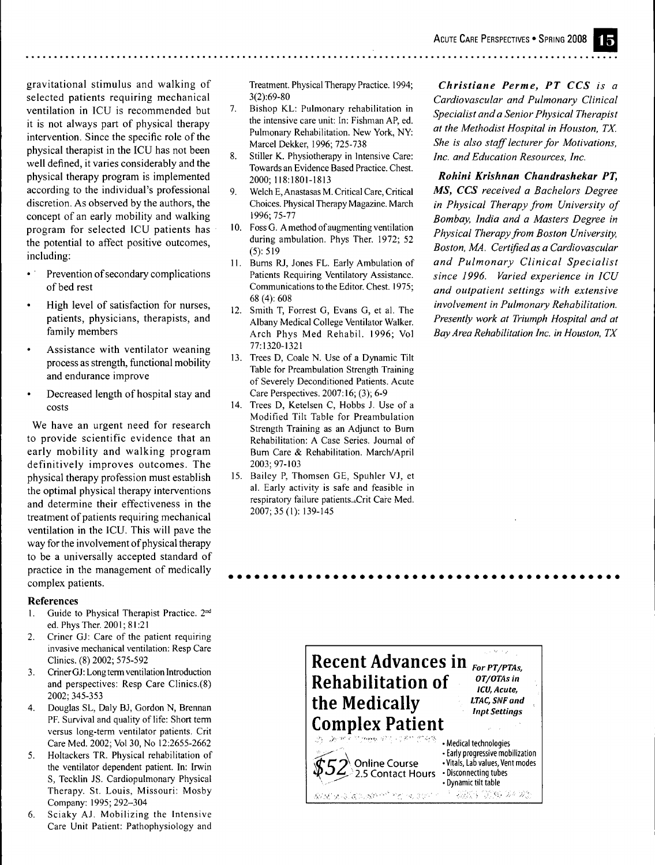gravitational stimulus and walking of selected patients requiring mechanical ventilation in ICU is recommended but it is not always part of physical therapy intervention. Since the specific role of the physical therapist in the ICU has not been well defined, it varies considerably and the physical therapy program is implemented according to the individual's professional discretion. As observed by the authors, the concept of an early mobility and walking program for selected ICU patients has the potential to affect positive outcomes, including:

- Prevention of secondary complications of bed rest
- High level of satisfaction for nurses, patients, physicians, therapists, and family members
- Assistance with ventilator weaning process as strength, functional mobility and endurance improve
- Decreased length of hospital stay and costs

We have an urgent need for research to provide scientific evidence that an early mobility and walking program definitively improves outcomes. The physical therapy profession must establish the optimal physical therapy interventions and determine their effectiveness in the treatment of patients requiring mechanical ventilation in the ICU. This will pave the way for the involvement of physical therapy to be a universally accepted standard of practice in the management of medically complex patients.

#### **References**

- 1. Guide to Physical Therapist Practice. 2<sup>nd</sup> ed. Phys Ther. 2001; 81:21
- 2. Criner GJ: Care of the patient requiring invasive mechanical ventilation: Resp Care Clinics. (8) 2002; 575-592
- 3. Criner GJ: Long term ventilation Introduction and perspectives: Resp Care Clinics.(8) 2002; 345-353
- 4. Douglas SL, Daly BJ, Gordon N, Brennan PF. Survival and quality of life: Short term versus long-term ventilator patients. Crit Care Med. 2002; Vol 30, No 12:2655-2662
- 5. Holtackers TR. Physical rehabilitation of the ventilator dependent patient. In: Irwin S, Tecklin JS. Cardiopulmonary Physical Therapy. St. Louis, Missouri: Mosby Company: 1995; 292-304
- 6. Sciaky AJ. Mobilizing the Intensive Care Unit Patient: Pathophysiology and

Treatment. Physical Therapy Practice. 1994; 3(2):69-80

- 7. Bishop KL: Pulmonary rehabilitation in the intensive care unit: In: Fishman AP, ed. Pulmonary Rehabilitation. New York, NY: Marcel Dekker, 1996; 725-738
- 8. Stiller K. Physiotherapy in Intensive Care: Towards an Evidence Based Practice. Chest. 2000; 118:1801-1813
- 9. Welch E, Anastasas M. Critical Care, Critical Choices. Physical Therapy Magazine. March 1996; 75-77
- 10. FossG. A method of augmenting ventilation during ambulation. Phys Ther. 1972; 52 (5): 519
- 11. Bums RJ, Jones FL. Early Ambulation of Patients Requiring Ventilatory Assistance. Communications to the Editor. Chest. 1975; 68 (4): 608
- 12. Smith T, Forrest G, Evans G, et al. The Albany Medical College Ventilator Walker. Arch Phys Med Rehabil. 1996; Vol 77:1320-1321
- 13. Trees D, Coale N. Use of a Dynamic Tilt Table for Preambulation Strength Training of Severely Deconditioned Patients. Acute Care Perspectives. 2007:16; (3); 6-9
- 14. Trees D, Ketelsen C, Hobbs J. Use of a Modified Tilt Table for Preambulation Strength Training as an Adjunct to Bum Rehabilitation: A Case Series. Joumal of Bum Care & Rehabilitation. March/April 2003; 97-103
- 15. Bailey P, Thomsen GE, Spuhler VJ, et al. Early activity is safe and feasible in respiratory failure patients..Crit Care Med. 2007; 35(1): 139-145

*Christiane Perme, PT CCS is a Cardiovascular and Pulmonary Clinical Specialist and a Senior Physical Therapist at the Methodist Hospital in Houston, TX. She is also staff lecturer for Motivations, Inc. and Education Resources, Inc.*

*Rohinl Krishnan Chandrashekar PT, MS, CCS received a Bachelors Degree in Physical Therapy from University of Bombay, India and a Masters Degree in Physical Therapy from Boston University, Boston, MA. Certified as a Cardiovascular and Pulmonary Clinical Specialist since 1996. Varied experience in ICU and outpatient settings with extensive involvement in Pulmonary Rehabilitation. Presently work at Triumph Hospital and at Bay Area Rehabilitation Inc. in Houston, TX*